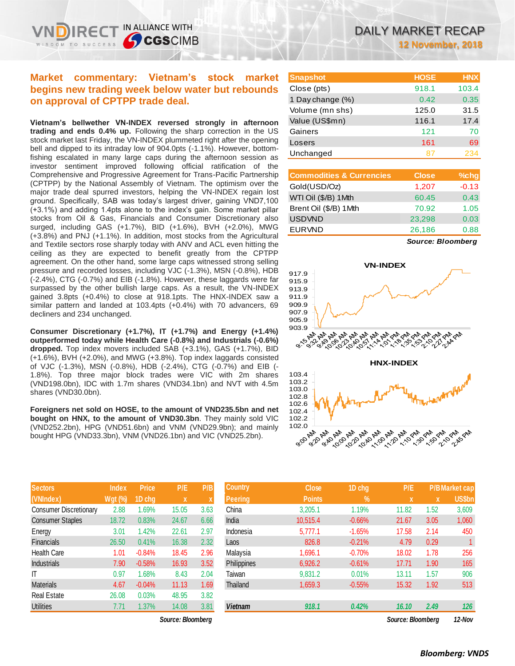**Market commentary: Vietnam's stock market begins new trading week below water but rebounds on approval of CPTPP trade deal.**

**Vietnam's bellwether VN-INDEX reversed strongly in afternoon trading and ends 0.4% up.** Following the sharp correction in the US stock market last Friday, the VN-INDEX plummeted right after the opening bell and dipped to its intraday low of 904.0pts (-1.1%). However, bottomfishing escalated in many large caps during the afternoon session as investor sentiment improved following official ratification of the Comprehensive and Progressive Agreement for Trans-Pacific Partnership (CPTPP) by the National Assembly of Vietnam. The optimism over the major trade deal spurred investors, helping the VN-INDEX regain lost ground. Specifically, SAB was today's largest driver, gaining VND7,100 (+3.1%) and adding 1.4pts alone to the index's gain. Some market pillar stocks from Oil & Gas, Financials and Consumer Discretionary also surged, including GAS (+1.7%), BID (+1.6%), BVH (+2.0%), MWG (+3.8%) and PNJ (+1.1%). In addition, most stocks from the Agricultural and Textile sectors rose sharply today with ANV and ACL even hitting the ceiling as they are expected to benefit greatly from the CPTPP agreement. On the other hand, some large caps witnessed strong selling pressure and recorded losses, including VJC (-1.3%), MSN (-0.8%), HDB (-2.4%), CTG (-0.7%) and EIB (-1.8%). However, these laggards were far surpassed by the other bullish large caps. As a result, the VN-INDEX gained 3.8pts (+0.4%) to close at 918.1pts. The HNX-INDEX saw a similar pattern and landed at 103.4pts (+0.4%) with 70 advancers, 69 decliners and 234 unchanged.

**Consumer Discretionary (+1.7%), IT (+1.7%) and Energy (+1.4%) outperformed today while Health Care (-0.8%) and Industrials (-0.6%) dropped.** Top index movers included SAB (+3.1%), GAS (+1.7%), BID (+1.6%), BVH (+2.0%), and MWG (+3.8%). Top index laggards consisted of VJC (-1.3%), MSN (-0.8%), HDB (-2.4%), CTG (-0.7%) and EIB (- 1.8%). Top three major block trades were VIC with 2m shares (VND198.0bn), IDC with 1.7m shares (VND34.1bn) and NVT with 4.5m shares (VND30.0bn).

**Foreigners net sold on HOSE, to the amount of VND235.5bn and net bought on HNX, to the amount of VND30.3bn**. They mainly sold VIC (VND252.2bn), HPG (VND51.6bn) and VNM (VND29.9bn); and mainly bought HPG (VND33.3bn), VNM (VND26.1bn) and VIC (VND25.2bn).

| <b>Sectors</b>                | <b>Index</b>   | <b>Price</b> | P/E   | P/B  |
|-------------------------------|----------------|--------------|-------|------|
| (VNIndex)                     | <b>Wgt (%)</b> | 1D chg       | X     | X    |
| <b>Consumer Discretionary</b> | 2.88           | 1.69%        | 15.05 | 3.63 |
| <b>Consumer Staples</b>       | 18.72          | 0.83%        | 24.67 | 6.66 |
| Energy                        | 3.01           | 1.42%        | 22.61 | 2.97 |
| <b>Financials</b>             | 26.50          | 0.41%        | 16.38 | 2.32 |
| <b>Health Care</b>            | 1.01           | $-0.84%$     | 18.45 | 2.96 |
| <b>Industrials</b>            | 7.90           | $-0.58%$     | 16.93 | 3.52 |
| IT                            | 0.97           | 1.68%        | 8.43  | 2.04 |
| <b>Materials</b>              | 4.67           | $-0.04%$     | 11.13 | 1.69 |
| <b>Real Estate</b>            | 26.08          | 0.03%        | 48.95 | 3.82 |
| <b>Utilities</b>              | 7.71           | 1.37%        | 14.08 | 3.81 |

| <b>Snapshot</b>  | <b>HOSE</b> | <b>HNX</b> |
|------------------|-------------|------------|
| Close (pts)      | 918.1       | 103.4      |
| 1 Day change (%) | 0.42        | 0.35       |
| Volume (mn shs)  | 125.0       | 31.5       |
| Value (US\$mn)   | 116.1       | 17.4       |
| Gainers          | 121         | 70         |
| Losers           | 161         | 69         |
| Unchanged        |             |            |

| 1,207 | $-0.13$                   |
|-------|---------------------------|
| 60.45 | 0.43                      |
|       | 1.05                      |
|       | 0.03                      |
|       | 0.88                      |
|       | 70.92<br>23,298<br>26,186 |

*Source: Bloomberg*



| <b>Sectors</b>         | <b>Index</b>   | <b>Price</b> | P/E               | P/B                       | <b>Country</b> | <b>Close</b>  | 1D chg        | P/E               |      | <b>P/B Market cap</b> |
|------------------------|----------------|--------------|-------------------|---------------------------|----------------|---------------|---------------|-------------------|------|-----------------------|
| (VNIndex)              | <b>Wgt (%)</b> | 1D chg       | $\mathbf x$       | $\boldsymbol{\mathsf{A}}$ | Peering        | <b>Points</b> | $\frac{9}{6}$ | $\mathbf{x}$      | X    | <b>US\$bn</b>         |
| Consumer Discretionary | 2.88           | 1.69%        | 15.05             | 3.63                      | China          | 3.205.1       | 1.19%         | 11.82             | 1.52 | 3,609                 |
| Consumer Staples       | 18.72          | 0.83%        | 24.67             | 6.66                      | India          | 10.515.4      | $-0.66%$      | 21.67             | 3.05 | 1,060                 |
| Energy                 | 3.01           | 1.42%        | 22.61             | 2.97                      | Indonesia      | 5.777.1       | $-1.65%$      | 17.58             | 2.14 | 450                   |
| <b>Financials</b>      | 26.50          | 0.41%        | 16.38             | 2.32                      | Laos           | 826.8         | $-0.21%$      | 4.79              | 0.29 |                       |
| Health Care            | 1.01           | $-0.84%$     | 18.45             | 2.96                      | Malavsia       | 1,696.1       | $-0.70%$      | 18.02             | 1.78 | 256                   |
| Industrials            | 7.90           | $-0.58%$     | 16.93             | 3.52                      | Philippines    | 6,926.2       | $-0.61%$      | 17.71             | 1.90 | 165                   |
| IT                     | 0.97           | 1.68%        | 8.43              | 2.04                      | Taiwan         | 9,831.2       | 0.01%         | 13.11             | 1.57 | 906                   |
| Materials              | 4.67           | $-0.04%$     | 11.13             | 1.69                      | Thailand       | 1,659.3       | $-0.55%$      | 15.32             | 1.92 | 513                   |
| Real Estate            | 26.08          | 0.03%        | 48.95             | 3.82                      |                |               |               |                   |      |                       |
| <b>Utilities</b>       | 7.71           | 1.37%        | 14.08             | 3.81                      | <b>Vietnam</b> | 918.1         | 0.42%         | 16.10             | 2.49 | 126                   |
|                        |                |              | Source: Bloombera |                           |                |               |               | Source: Bloombera |      | 12-Nov                |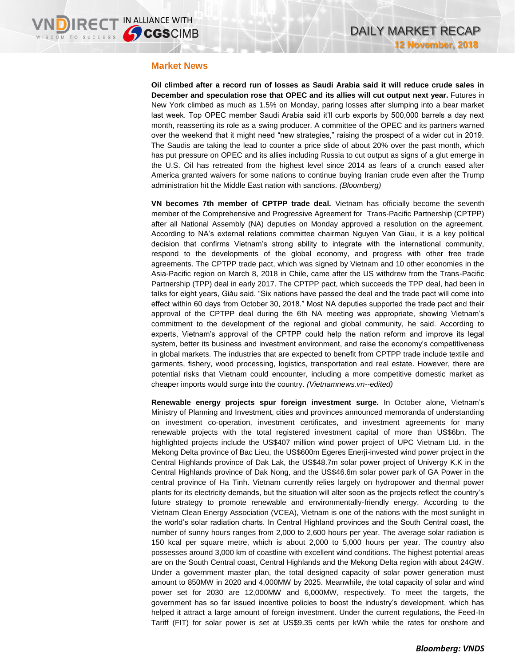### **Market News**

**Oil climbed after a record run of losses as Saudi Arabia said it will reduce crude sales in December and speculation rose that OPEC and its allies will cut output next year.** Futures in New York climbed as much as 1.5% on Monday, paring losses after slumping into a bear market last week. Top OPEC member Saudi Arabia said it'll curb exports by 500,000 barrels a day next month, reasserting its role as a swing producer. A committee of the OPEC and its partners warned over the weekend that it might need "new strategies," raising the prospect of a wider cut in 2019. The Saudis are taking the lead to counter a price slide of about 20% over the past month, which has put pressure on OPEC and its allies including Russia to cut output as signs of a glut emerge in the U.S. Oil has retreated from the highest level since 2014 as fears of a crunch eased after America granted waivers for some nations to continue buying Iranian crude even after the Trump administration hit the Middle East nation with sanctions. *(Bloomberg)*

**VN becomes 7th member of CPTPP trade deal.** Vietnam has officially become the seventh member of the Comprehensive and Progressive Agreement for Trans-Pacific Partnership (CPTPP) after all National Assembly (NA) deputies on Monday approved a resolution on the agreement. According to NA's external relations committee chairman Nguyen Van Giau, it is a key political decision that confirms Vietnam's strong ability to integrate with the international community, respond to the developments of the global economy, and progress with other free trade agreements. The CPTPP trade pact, which was signed by Vietnam and 10 other economies in the Asia-Pacific region on March 8, 2018 in Chile, came after the US withdrew from the Trans-Pacific Partnership (TPP) deal in early 2017. The CPTPP pact, which succeeds the TPP deal, had been in talks for eight years, Giàu said. "Six nations have passed the deal and the trade pact will come into effect within 60 days from October 30, 2018." Most NA deputies supported the trade pact and their approval of the CPTPP deal during the 6th NA meeting was appropriate, showing Vietnam's commitment to the development of the regional and global community, he said. According to experts, Vietnam's approval of the CPTPP could help the nation reform and improve its legal system, better its business and investment environment, and raise the economy's competitiveness in global markets. The industries that are expected to benefit from CPTPP trade include textile and garments, fishery, wood processing, logistics, transportation and real estate. However, there are potential risks that Vietnam could encounter, including a more competitive domestic market as cheaper imports would surge into the country. *(Vietnamnews.vn--edited)*

**Renewable energy projects spur foreign investment surge.** In October alone, Vietnam's Ministry of Planning and Investment, cities and provinces announced memoranda of understanding on investment co-operation, investment certificates, and investment agreements for many renewable projects with the total registered investment capital of more than US\$6bn. The highlighted projects include the US\$407 million wind power project of UPC Vietnam Ltd. in the Mekong Delta province of Bac Lieu, the US\$600m Egeres Enerji-invested wind power project in the Central Highlands province of Dak Lak, the US\$48.7m solar power project of Univergy K.K in the Central Highlands province of Dak Nong, and the US\$46.6m solar power park of GA Power in the central province of Ha Tinh. Vietnam currently relies largely on hydropower and thermal power plants for its electricity demands, but the situation will alter soon as the projects reflect the country's future strategy to promote renewable and environmentally-friendly energy. According to the Vietnam Clean Energy Association (VCEA), Vietnam is one of the nations with the most sunlight in the world's solar radiation charts. In Central Highland provinces and the South Central coast, the number of sunny hours ranges from 2,000 to 2,600 hours per year. The average solar radiation is 150 kcal per square metre, which is about 2,000 to 5,000 hours per year. The country also possesses around 3,000 km of coastline with excellent wind conditions. The highest potential areas are on the South Central coast, Central Highlands and the Mekong Delta region with about 24GW. Under a government master plan, the total designed capacity of solar power generation must amount to 850MW in 2020 and 4,000MW by 2025. Meanwhile, the total capacity of solar and wind power set for 2030 are 12,000MW and 6,000MW, respectively. To meet the targets, the government has so far issued incentive policies to boost the industry's development, which has helped it attract a large amount of foreign investment. Under the current regulations, the Feed-In Tariff (FIT) for solar power is set at US\$9.35 cents per kWh while the rates for onshore and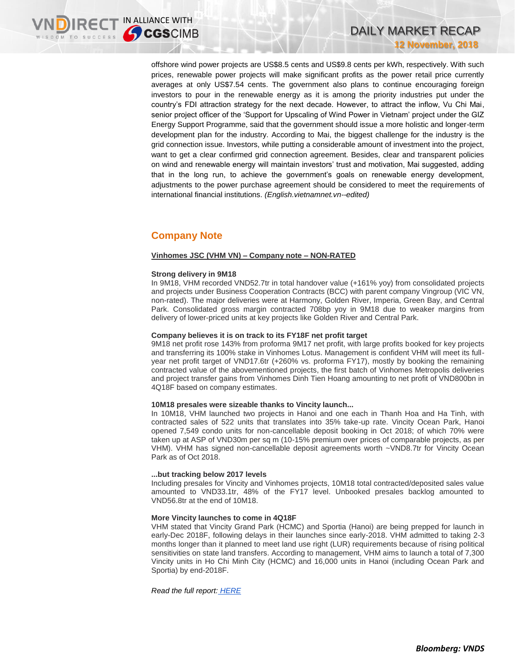offshore wind power projects are US\$8.5 cents and US\$9.8 cents per kWh, respectively. With such prices, renewable power projects will make significant profits as the power retail price currently averages at only US\$7.54 cents. The government also plans to continue encouraging foreign investors to pour in the renewable energy as it is among the priority industries put under the country's FDI attraction strategy for the next decade. However, to attract the inflow, Vu Chi Mai, senior project officer of the 'Support for Upscaling of Wind Power in Vietnam' project under the GIZ Energy Support Programme, said that the government should issue a more holistic and longer-term development plan for the industry. According to Mai, the biggest challenge for the industry is the grid connection issue. Investors, while putting a considerable amount of investment into the project, want to get a clear confirmed grid connection agreement. Besides, clear and transparent policies on wind and renewable energy will maintain investors' trust and motivation, Mai suggested, adding that in the long run, to achieve the government's goals on renewable energy development, adjustments to the power purchase agreement should be considered to meet the requirements of international financial institutions. *(English.vietnamnet.vn--edited)*

# **Company Note**

### **Vinhomes JSC (VHM VN) – Company note – NON-RATED**

### **Strong delivery in 9M18**

In 9M18, VHM recorded VND52.7tr in total handover value (+161% yoy) from consolidated projects and projects under Business Cooperation Contracts (BCC) with parent company Vingroup (VIC VN, non-rated). The major deliveries were at Harmony, Golden River, Imperia, Green Bay, and Central Park. Consolidated gross margin contracted 708bp yoy in 9M18 due to weaker margins from delivery of lower-priced units at key projects like Golden River and Central Park.

### **Company believes it is on track to its FY18F net profit target**

9M18 net profit rose 143% from proforma 9M17 net profit, with large profits booked for key projects and transferring its 100% stake in Vinhomes Lotus. Management is confident VHM will meet its fullyear net profit target of VND17.6tr (+260% vs. proforma FY17), mostly by booking the remaining contracted value of the abovementioned projects, the first batch of Vinhomes Metropolis deliveries and project transfer gains from Vinhomes Dinh Tien Hoang amounting to net profit of VND800bn in 4Q18F based on company estimates.

### **10M18 presales were sizeable thanks to Vincity launch...**

In 10M18, VHM launched two projects in Hanoi and one each in Thanh Hoa and Ha Tinh, with contracted sales of 522 units that translates into 35% take-up rate. Vincity Ocean Park, Hanoi opened 7,549 condo units for non-cancellable deposit booking in Oct 2018; of which 70% were taken up at ASP of VND30m per sq m (10-15% premium over prices of comparable projects, as per VHM). VHM has signed non-cancellable deposit agreements worth ~VND8.7tr for Vincity Ocean Park as of Oct 2018.

### **...but tracking below 2017 levels**

Including presales for Vincity and Vinhomes projects, 10M18 total contracted/deposited sales value amounted to VND33.1tr, 48% of the FY17 level. Unbooked presales backlog amounted to VND56.8tr at the end of 10M18.

### **More Vincity launches to come in 4Q18F**

VHM stated that Vincity Grand Park (HCMC) and Sportia (Hanoi) are being prepped for launch in early-Dec 2018F, following delays in their launches since early-2018. VHM admitted to taking 2-3 months longer than it planned to meet land use right (LUR) requirements because of rising political sensitivities on state land transfers. According to management, VHM aims to launch a total of 7,300 Vincity units in Ho Chi Minh City (HCMC) and 16,000 units in Hanoi (including Ocean Park and Sportia) by end-2018F.

*Read the full report: [HERE](https://brokingrfs.cimb.com/mTn0yv9ALhTzdn3CLDC0HCpdOKPH-RHfb8LO34QVXLZM4_0OnWpsjyTS6LHLmYS72Ipo6BGIZoHfcUzG0.pdf)*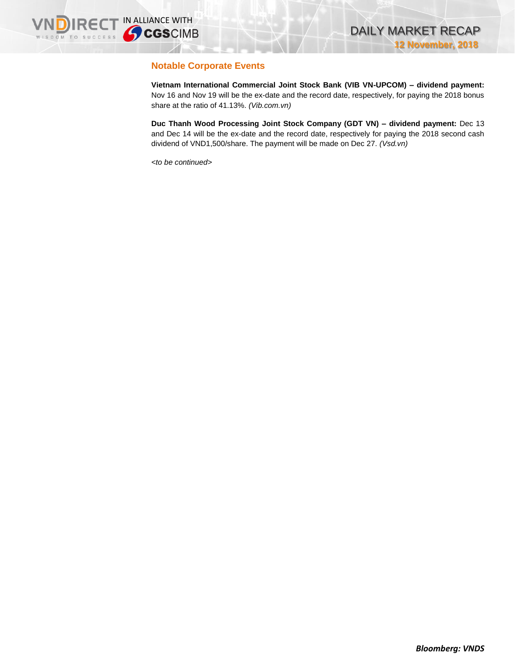## **Notable Corporate Events**

**Vietnam International Commercial Joint Stock Bank (VIB VN-UPCOM) – dividend payment:**  Nov 16 and Nov 19 will be the ex-date and the record date, respectively, for paying the 2018 bonus share at the ratio of 41.13%. *(Vib.com.vn)*

**Duc Thanh Wood Processing Joint Stock Company (GDT VN) – dividend payment:** Dec 13 and Dec 14 will be the ex-date and the record date, respectively for paying the 2018 second cash dividend of VND1,500/share. The payment will be made on Dec 27. *(Vsd.vn)*

*<to be continued>*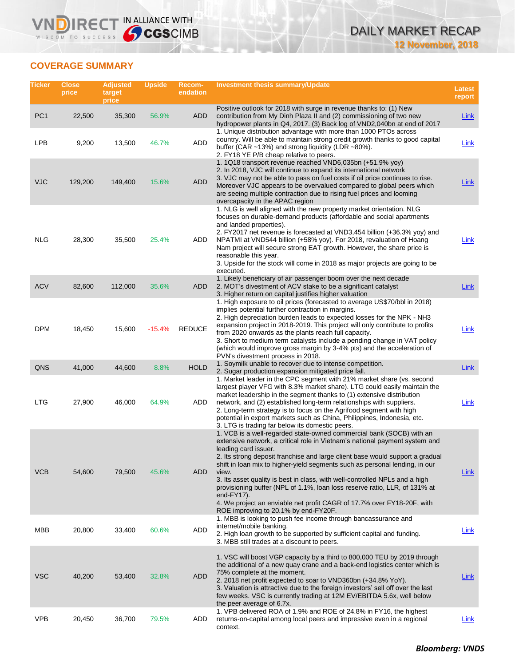## **COVERAGE SUMMARY**

WISDOM TO SUCCESS

**VNDIRECT IN ALLIANCE WITH** 

| Ticker          | <b>Close</b><br>price | <b>Adjusted</b><br>target<br>price | <b>Upside</b> | <b>Recom-</b><br>endation | <b>Investment thesis summary/Update</b>                                                                                                                                                                                                                                                                                                                                                                                                                                                                                                                                                                                                           | <b>Latest</b><br>report |
|-----------------|-----------------------|------------------------------------|---------------|---------------------------|---------------------------------------------------------------------------------------------------------------------------------------------------------------------------------------------------------------------------------------------------------------------------------------------------------------------------------------------------------------------------------------------------------------------------------------------------------------------------------------------------------------------------------------------------------------------------------------------------------------------------------------------------|-------------------------|
| PC <sub>1</sub> | 22,500                | 35,300                             | 56.9%         | ADD                       | Positive outlook for 2018 with surge in revenue thanks to: (1) New<br>contribution from My Dinh Plaza II and (2) commissioning of two new<br>hydropower plants in Q4, 2017. (3) Back log of VND2,040bn at end of 2017                                                                                                                                                                                                                                                                                                                                                                                                                             | <b>Link</b>             |
| <b>LPB</b>      | 9,200                 | 13,500                             | 46.7%         | <b>ADD</b>                | 1. Unique distribution advantage with more than 1000 PTOs across<br>country. Will be able to maintain strong credit growth thanks to good capital<br>buffer (CAR ~13%) and strong liquidity (LDR ~80%).<br>2. FY18 YE P/B cheap relative to peers.                                                                                                                                                                                                                                                                                                                                                                                                | Link                    |
| VJC             | 129,200               | 149,400                            | 15.6%         | <b>ADD</b>                | 1. 1Q18 transport revenue reached VND6,035bn (+51.9% yoy)<br>2. In 2018, VJC will continue to expand its international network<br>3. VJC may not be able to pass on fuel costs if oil price continues to rise.<br>Moreover VJC appears to be overvalued compared to global peers which<br>are seeing multiple contraction due to rising fuel prices and looming<br>overcapacity in the APAC region                                                                                                                                                                                                                                                | Link                    |
| <b>NLG</b>      | 28,300                | 35,500                             | 25.4%         | ADD                       | 1. NLG is well aligned with the new property market orientation. NLG<br>focuses on durable-demand products (affordable and social apartments<br>and landed properties).<br>2. FY2017 net revenue is forecasted at VND3,454 billion (+36.3% yoy) and<br>NPATMI at VND544 billion (+58% yoy). For 2018, revaluation of Hoang<br>Nam project will secure strong EAT growth. However, the share price is<br>reasonable this year.<br>3. Upside for the stock will come in 2018 as major projects are going to be<br>executed.                                                                                                                         | Link                    |
| <b>ACV</b>      | 82,600                | 112,000                            | 35.6%         | ADD                       | 1. Likely beneficiary of air passenger boom over the next decade<br>2. MOT's divestment of ACV stake to be a significant catalyst<br>3. Higher return on capital justifies higher valuation                                                                                                                                                                                                                                                                                                                                                                                                                                                       | Link                    |
| <b>DPM</b>      | 18,450                | 15,600                             | $-15.4%$      | <b>REDUCE</b>             | 1. High exposure to oil prices (forecasted to average US\$70/bbl in 2018)<br>implies potential further contraction in margins.<br>2. High depreciation burden leads to expected losses for the NPK - NH3<br>expansion project in 2018-2019. This project will only contribute to profits<br>from 2020 onwards as the plants reach full capacity.<br>3. Short to medium term catalysts include a pending change in VAT policy<br>(which would improve gross margin by 3-4% pts) and the acceleration of<br>PVN's divestment process in 2018.                                                                                                       | Link                    |
| QNS             | 41,000                | 44,600                             | 8.8%          | <b>HOLD</b>               | 1. Soymilk unable to recover due to intense competition.<br>2. Sugar production expansion mitigated price fall.                                                                                                                                                                                                                                                                                                                                                                                                                                                                                                                                   | <b>Link</b>             |
| LTG             | 27,900                | 46,000                             | 64.9%         | ADD                       | 1. Market leader in the CPC segment with 21% market share (vs. second<br>largest player VFG with 8.3% market share). LTG could easily maintain the<br>market leadership in the segment thanks to (1) extensive distribution<br>network, and (2) established long-term relationships with suppliers.<br>2. Long-term strategy is to focus on the Agrifood segment with high<br>potential in export markets such as China, Philippines, Indonesia, etc.<br>3. LTG is trading far below its domestic peers.                                                                                                                                          | Link                    |
| <b>VCB</b>      | 54,600                | 79,500                             | 45.6%         | <b>ADD</b>                | 1. VCB is a well-regarded state-owned commercial bank (SOCB) with an<br>extensive network, a critical role in Vietnam's national payment system and<br>leading card issuer.<br>2. Its strong deposit franchise and large client base would support a gradual<br>shift in loan mix to higher-yield segments such as personal lending, in our<br>view.<br>3. Its asset quality is best in class, with well-controlled NPLs and a high<br>provisioning buffer (NPL of 1.1%, loan loss reserve ratio, LLR, of 131% at<br>end-FY17).<br>4. We project an enviable net profit CAGR of 17.7% over FY18-20F, with<br>ROE improving to 20.1% by end-FY20F. | <b>Link</b>             |
| <b>MBB</b>      | 20,800                | 33,400                             | 60.6%         | ADD                       | 1. MBB is looking to push fee income through bancassurance and<br>internet/mobile banking.<br>2. High loan growth to be supported by sufficient capital and funding.<br>3. MBB still trades at a discount to peers.                                                                                                                                                                                                                                                                                                                                                                                                                               | Link                    |
| <b>VSC</b>      | 40,200                | 53,400                             | 32.8%         | <b>ADD</b>                | 1. VSC will boost VGP capacity by a third to 800,000 TEU by 2019 through<br>the additional of a new quay crane and a back-end logistics center which is<br>75% complete at the moment.<br>2. 2018 net profit expected to soar to VND360bn (+34.8% YoY).<br>3. Valuation is attractive due to the foreign investors' sell off over the last<br>few weeks. VSC is currently trading at 12M EV/EBITDA 5.6x, well below<br>the peer average of 6.7x.                                                                                                                                                                                                  | Link                    |
| <b>VPB</b>      | 20,450                | 36,700                             | 79.5%         | ADD                       | 1. VPB delivered ROA of 1.9% and ROE of 24.8% in FY16, the highest<br>returns-on-capital among local peers and impressive even in a regional<br>context.                                                                                                                                                                                                                                                                                                                                                                                                                                                                                          | Link                    |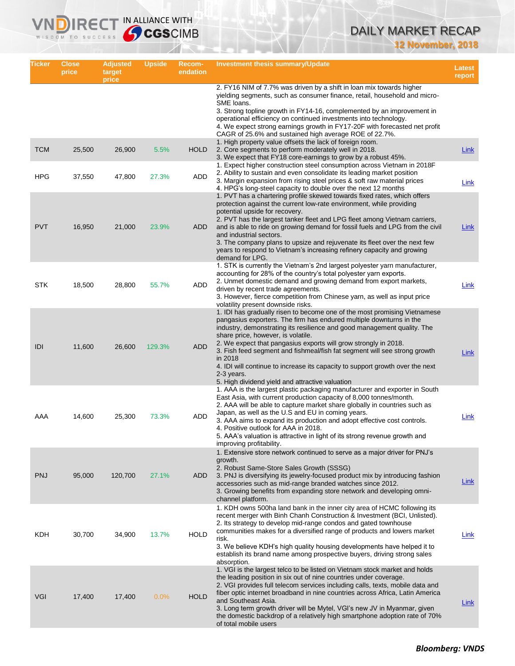# DAILY MARKET RECAP

**12 November, 2018**

| Ticker     | <b>Close</b><br>price | <b>Adjusted</b><br>target<br>price | <b>Upside</b> | <b>Recom-</b><br>endation | <b>Investment thesis summary/Update</b>                                                                                                                                                                                                                                                                                                                                                                                                                                                                                                                                        | Latest<br>report |
|------------|-----------------------|------------------------------------|---------------|---------------------------|--------------------------------------------------------------------------------------------------------------------------------------------------------------------------------------------------------------------------------------------------------------------------------------------------------------------------------------------------------------------------------------------------------------------------------------------------------------------------------------------------------------------------------------------------------------------------------|------------------|
|            |                       |                                    |               |                           | 2. FY16 NIM of 7.7% was driven by a shift in loan mix towards higher<br>yielding segments, such as consumer finance, retail, household and micro-<br>SME loans.<br>3. Strong topline growth in FY14-16, complemented by an improvement in<br>operational efficiency on continued investments into technology.                                                                                                                                                                                                                                                                  |                  |
|            |                       |                                    |               |                           | 4. We expect strong earnings growth in FY17-20F with forecasted net profit<br>CAGR of 25.6% and sustained high average ROE of 22.7%.                                                                                                                                                                                                                                                                                                                                                                                                                                           |                  |
| <b>TCM</b> | 25,500                | 26,900                             | 5.5%          | <b>HOLD</b>               | 1. High property value offsets the lack of foreign room.<br>2. Core segments to perform moderately well in 2018.<br>3. We expect that FY18 core-earnings to grow by a robust 45%.                                                                                                                                                                                                                                                                                                                                                                                              | Link             |
| <b>HPG</b> | 37,550                | 47,800                             | 27.3%         | ADD                       | 1. Expect higher construction steel consumption across Vietnam in 2018F<br>2. Ability to sustain and even consolidate its leading market position<br>3. Margin expansion from rising steel prices & soft raw material prices<br>4. HPG's long-steel capacity to double over the next 12 months                                                                                                                                                                                                                                                                                 | Link             |
| <b>PVT</b> | 16,950                | 21,000                             | 23.9%         | ADD                       | 1. PVT has a chartering profile skewed towards fixed rates, which offers<br>protection against the current low-rate environment, while providing<br>potential upside for recovery.<br>2. PVT has the largest tanker fleet and LPG fleet among Vietnam carriers,<br>and is able to ride on growing demand for fossil fuels and LPG from the civil<br>and industrial sectors.<br>3. The company plans to upsize and rejuvenate its fleet over the next few<br>years to respond to Vietnam's increasing refinery capacity and growing<br>demand for LPG.                          | Link             |
| <b>STK</b> | 18,500                | 28,800                             | 55.7%         | ADD                       | 1. STK is currently the Vietnam's 2nd largest polyester yarn manufacturer,<br>accounting for 28% of the country's total polyester yarn exports.<br>2. Unmet domestic demand and growing demand from export markets,<br>driven by recent trade agreements.<br>3. However, fierce competition from Chinese yarn, as well as input price<br>volatility present downside risks.                                                                                                                                                                                                    | Link             |
| IDI        | 11,600                | 26,600                             | 129.3%        | <b>ADD</b>                | 1. IDI has gradually risen to become one of the most promising Vietnamese<br>pangasius exporters. The firm has endured multiple downturns in the<br>industry, demonstrating its resilience and good management quality. The<br>share price, however, is volatile.<br>2. We expect that pangasius exports will grow strongly in 2018.<br>3. Fish feed segment and fishmeal/fish fat segment will see strong growth<br>in 2018<br>4. IDI will continue to increase its capacity to support growth over the next<br>2-3 years.<br>5. High dividend yield and attractive valuation | <b>Link</b>      |
| AAA        | 14,600                | 25,300                             | 73.3%         | ADD                       | 1. AAA is the largest plastic packaging manufacturer and exporter in South<br>East Asia, with current production capacity of 8,000 tonnes/month.<br>2. AAA will be able to capture market share globally in countries such as<br>Japan, as well as the U.S and EU in coming years.<br>3. AAA aims to expand its production and adopt effective cost controls.<br>4. Positive outlook for AAA in 2018.<br>5. AAA's valuation is attractive in light of its strong revenue growth and<br>improving profitability.                                                                | Link             |
| <b>PNJ</b> | 95,000                | 120,700                            | 27.1%         | ADD                       | 1. Extensive store network continued to serve as a major driver for PNJ's<br>growth.<br>2. Robust Same-Store Sales Growth (SSSG)<br>3. PNJ is diversifying its jewelry-focused product mix by introducing fashion<br>accessories such as mid-range branded watches since 2012.<br>3. Growing benefits from expanding store network and developing omni-<br>channel platform.                                                                                                                                                                                                   | Link             |
| KDH        | 30,700                | 34,900                             | 13.7%         | <b>HOLD</b>               | 1. KDH owns 500ha land bank in the inner city area of HCMC following its<br>recent merger with Binh Chanh Construction & Investment (BCI, Unlisted).<br>2. Its strategy to develop mid-range condos and gated townhouse<br>communities makes for a diversified range of products and lowers market<br>risk.<br>3. We believe KDH's high quality housing developments have helped it to<br>establish its brand name among prospective buyers, driving strong sales<br>absorption.                                                                                               | Link             |
| <b>VGI</b> | 17,400                | 17,400                             | 0.0%          | <b>HOLD</b>               | 1. VGI is the largest telco to be listed on Vietnam stock market and holds<br>the leading position in six out of nine countries under coverage.<br>2. VGI provides full telecom services including calls, texts, mobile data and<br>fiber optic internet broadband in nine countries across Africa, Latin America<br>and Southeast Asia.<br>3. Long term growth driver will be Mytel, VGI's new JV in Myanmar, given<br>the domestic backdrop of a relatively high smartphone adoption rate of 70%<br>of total mobile users                                                    | Link             |

**VNDIRECT IN ALLIANCE WITH**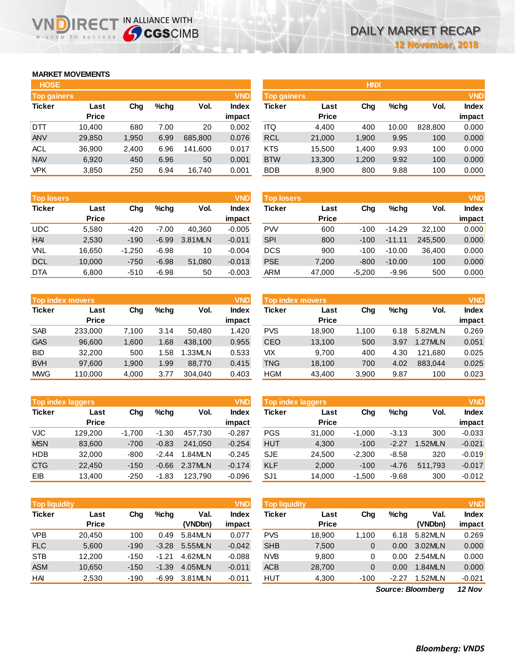## **MARKET MOVEMENTS**

| <b>HOSE</b>        |              |       |      |         |              |
|--------------------|--------------|-------|------|---------|--------------|
| <b>Top gainers</b> |              |       |      |         | <b>VND</b>   |
| <b>Ticker</b>      | Last         | Cha   | %chq | Vol.    | <b>Index</b> |
|                    | <b>Price</b> |       |      |         | impact       |
| DTT                | 10,400       | 680   | 7.00 | 20      | 0.002        |
| <b>ANV</b>         | 29,850       | 1,950 | 6.99 | 685,800 | 0.076        |
| <b>ACL</b>         | 36,900       | 2,400 | 6.96 | 141,600 | 0.017        |
| <b>NAV</b>         | 6,920        | 450   | 6.96 | 50      | 0.001        |
| <b>VPK</b>         | 3.850        | 250   | 6.94 | 16.740  | 0.001        |

**VNDIRECT IN ALLIANCE WITH** 

| <b>Top losers</b> |              |          |         |         | <b>VND</b>   |
|-------------------|--------------|----------|---------|---------|--------------|
| <b>Ticker</b>     | Last         | Cha      | %chq    | Vol.    | <b>Index</b> |
|                   | <b>Price</b> |          |         |         | impact       |
| <b>UDC</b>        | 5,580        | -420     | $-7.00$ | 40,360  | $-0.005$     |
| <b>HAI</b>        | 2,530        | $-190$   | $-6.99$ | 3.81MLN | $-0.011$     |
| VNL               | 16,650       | $-1,250$ | $-6.98$ | 10      | $-0.004$     |
| <b>DCL</b>        | 10,000       | $-750$   | $-6.98$ | 51,080  | $-0.013$     |
| <b>DTA</b>        | 6,800        | $-510$   | $-6.98$ | 50      | $-0.003$     |

|               | <b>VND</b><br><b>Top index movers</b> |       |      |         |              |  |  |  |  |  |
|---------------|---------------------------------------|-------|------|---------|--------------|--|--|--|--|--|
| <b>Ticker</b> | Last                                  | Cha   | %chq | Vol.    | <b>Index</b> |  |  |  |  |  |
|               | <b>Price</b>                          |       |      |         | impact       |  |  |  |  |  |
| <b>SAB</b>    | 233,000                               | 7,100 | 3.14 | 50,480  | 1.420        |  |  |  |  |  |
| <b>GAS</b>    | 96,600                                | 1,600 | 1.68 | 438,100 | 0.955        |  |  |  |  |  |
| <b>BID</b>    | 32,200                                | 500   | 1.58 | 1.33MLN | 0.533        |  |  |  |  |  |
| <b>BVH</b>    | 97,600                                | 1,900 | 1.99 | 88,770  | 0.415        |  |  |  |  |  |
| <b>MWG</b>    | 110,000                               | 4,000 | 3.77 | 304.040 | 0.403        |  |  |  |  |  |

| <b>VND</b><br><b>Top index laggers</b> |              |          |         |         |              |  |  |  |  |
|----------------------------------------|--------------|----------|---------|---------|--------------|--|--|--|--|
| <b>Ticker</b>                          | Last         | Cha      | %chq    | Vol.    | <b>Index</b> |  |  |  |  |
|                                        | <b>Price</b> |          |         |         | impact       |  |  |  |  |
| <b>VJC</b>                             | 129,200      | $-1,700$ | $-1.30$ | 457,730 | $-0.287$     |  |  |  |  |
| <b>MSN</b>                             | 83,600       | $-700$   | $-0.83$ | 241.050 | $-0.254$     |  |  |  |  |
| HDB                                    | 32,000       | $-800$   | $-2.44$ | 1.84MLN | $-0.245$     |  |  |  |  |
| <b>CTG</b>                             | 22,450       | $-150$   | $-0.66$ | 2.37MLN | $-0.174$     |  |  |  |  |
| EIB                                    | 13,400       | $-250$   | $-1.83$ | 123.790 | $-0.096$     |  |  |  |  |

| <b>VND</b><br><b>Top liquidity</b> |              |        |         |         |              |  |  |  |  |
|------------------------------------|--------------|--------|---------|---------|--------------|--|--|--|--|
| <b>Ticker</b>                      | Last         | Cha    | %chq    | Val.    | <b>Index</b> |  |  |  |  |
|                                    | <b>Price</b> |        |         | (VNDbn) | impact       |  |  |  |  |
| <b>VPB</b>                         | 20,450       | 100    | 0.49    | 5.84MLN | 0.077        |  |  |  |  |
| <b>FLC</b>                         | 5,600        | $-190$ | $-3.28$ | 5.55MLN | $-0.042$     |  |  |  |  |
| <b>STB</b>                         | 12,200       | $-150$ | $-1.21$ | 4.62MLN | $-0.088$     |  |  |  |  |
| <b>ASM</b>                         | 10,650       | $-150$ | $-1.39$ | 4.05MLN | $-0.011$     |  |  |  |  |
| HAI                                | 2,530        | $-190$ | $-6.99$ | 3.81MLN | $-0.011$     |  |  |  |  |

| <b>HOSE</b>        |              |       |         |         |              |                    |              | <b>HNX</b> |         |         |              |
|--------------------|--------------|-------|---------|---------|--------------|--------------------|--------------|------------|---------|---------|--------------|
| <b>Top gainers</b> |              |       |         |         | <b>VND</b>   | <b>Top gainers</b> |              |            |         |         | <b>VND</b>   |
| Ticker             | Last         | Chg   | $%$ chg | Vol.    | <b>Index</b> | Ticker             | Last         | Chg        | $%$ chg | Vol.    | <b>Index</b> |
|                    | <b>Price</b> |       |         |         | impact       |                    | <b>Price</b> |            |         |         | impact       |
| DTT                | 10.400       | 680   | 7.00    | 20      | 0.002        | ITQ                | 4,400        | 400        | 10.00   | 828,800 | 0.000        |
| ANV                | 29,850       | 1,950 | 6.99    | 685,800 | 0.076        | <b>RCL</b>         | 21,000       | 1,900      | 9.95    | 100     | 0.000        |
| ACL                | 36,900       | 2,400 | 6.96    | 141,600 | 0.017        | <b>KTS</b>         | 15,500       | 1,400      | 9.93    | 100     | 0.000        |
| <b>NAV</b>         | 6,920        | 450   | 6.96    | 50      | 0.001        | <b>BTW</b>         | 13,300       | 1,200      | 9.92    | 100     | 0.000        |
| VPK                | 3,850        | 250   | 6.94    | 16.740  | 0.001        | <b>BDB</b>         | 8,900        | 800        | 9.88    | 100     | 0.000        |

| <b>Top losers</b> |              |          |         |         | <b>VND</b>   | <b>Top losers</b> |              |          |          |         | <b>VND</b>   |
|-------------------|--------------|----------|---------|---------|--------------|-------------------|--------------|----------|----------|---------|--------------|
| <b>Ticker</b>     | Last         | Chg      | %chq    | Vol.    | <b>Index</b> | Ticker            | Last         | Chg      | $%$ chq  | Vol.    | <b>Index</b> |
|                   | <b>Price</b> |          |         |         | impact       |                   | <b>Price</b> |          |          |         | impact       |
| UDC               | 5,580        | $-420$   | $-7.00$ | 40.360  | $-0.005$     | <b>PW</b>         | 600          | $-100$   | $-14.29$ | 32.100  | 0.000        |
| HAI               | 2,530        | $-190$   | $-6.99$ | 3.81MLN | $-0.011$     | <b>SPI</b>        | 800          | $-100$   | $-11.11$ | 245.500 | 0.000        |
| VNL               | 16,650       | $-1,250$ | $-6.98$ | 10      | $-0.004$     | <b>DCS</b>        | 900          | $-100$   | $-10.00$ | 36.400  | 0.000        |
| <b>DCL</b>        | 10,000       | $-750$   | $-6.98$ | 51,080  | $-0.013$     | <b>PSE</b>        | 7,200        | $-800$   | $-10.00$ | 100     | 0.000        |
| <b>DTA</b>        | 6,800        | $-510$   | $-6.98$ | 50      | $-0.003$     | <b>ARM</b>        | 47,000       | $-5,200$ | $-9.96$  | 500     | 0.000        |
|                   |              |          |         |         |              |                   |              |          |          |         |              |

|            | Top index movers |       |      |         | <b>VND</b>   | Top index movers |              |       |         | <b>VND</b> |              |
|------------|------------------|-------|------|---------|--------------|------------------|--------------|-------|---------|------------|--------------|
| Ticker     | Last             | Chg   | %chq | Vol.    | <b>Index</b> | Ticker           | Last         | Chg   | $%$ chq | Vol.       | <b>Index</b> |
|            | <b>Price</b>     |       |      |         | impact       |                  | <b>Price</b> |       |         |            | impact       |
| SAB        | 233,000          | 7.100 | 3.14 | 50.480  | 1.420        | <b>PVS</b>       | 18.900       | 1.100 | 6.18    | 5.82MLN    | 0.269        |
| <b>GAS</b> | 96.600           | 1.600 | 1.68 | 438,100 | 0.955        | CEO              | 13,100       | 500   | 3.97    | 1.27MLN    | 0.051        |
| BID        | 32,200           | 500   | .58  | 1.33MLN | 0.533        | VIХ              | 9.700        | 400   | 4.30    | 121.680    | 0.025        |
| <b>BVH</b> | 97.600           | 1.900 | 1.99 | 88.770  | 0.415        | TNG              | 18,100       | 700   | 4.02    | 883.044    | 0.025        |
| <b>MWG</b> | 110.000          | 4,000 | 3.77 | 304.040 | 0.403        | HGM              | 43,400       | 3,900 | 9.87    | 100        | 0.023        |

| <b>Top index laggers</b> |                      |          |         |         | <b>VND</b>             | Top index laggers |                      |          |         |         | <b>VND</b>             |
|--------------------------|----------------------|----------|---------|---------|------------------------|-------------------|----------------------|----------|---------|---------|------------------------|
| Ticker                   | Last<br><b>Price</b> | Chg      | %chq    | Vol.    | <b>Index</b><br>impact | Ticker            | Last<br><b>Price</b> | Chg      | $%$ chq | Vol.    | <b>Index</b><br>impact |
| VJC.                     | 129.200              | $-1.700$ | $-1.30$ | 457.730 | $-0.287$               | <b>PGS</b>        | 31,000               | $-1.000$ | $-3.13$ | 300     | $-0.033$               |
| <b>MSN</b>               | 83.600               | $-700$   | $-0.83$ | 241.050 | $-0.254$               | <b>HUT</b>        | 4,300                | $-100$   | $-2.27$ | 1.52MLN | $-0.021$               |
| HDB                      | 32,000               | $-800$   | $-2.44$ | 1.84MLN | $-0.245$               | <b>SJE</b>        | 24.500               | $-2.300$ | $-8.58$ | 320     | $-0.019$               |
| <b>CTG</b>               | 22,450               | $-150$   | $-0.66$ | 2.37MLN | $-0.174$               | <b>KLF</b>        | 2,000                | $-100$   | $-4.76$ | 511.793 | $-0.017$               |
| EIB                      |                      |          | $-1.83$ | 123.790 |                        | SJ <sub>1</sub>   |                      |          |         |         | $-0.012$               |
|                          | 13,400               | $-250$   |         |         | $-0.096$               |                   | 14,000               | $-1,500$ | $-9.68$ | 300     |                        |

| <b>Top liquidity</b> |                      |        |         |                 | <b>VND</b>             | <b>Top liquidity</b> |                      |        |         |                 | <b>VND</b>   |
|----------------------|----------------------|--------|---------|-----------------|------------------------|----------------------|----------------------|--------|---------|-----------------|--------------|
| Ticker               | Last<br><b>Price</b> | Chg    | $%$ chq | Val.<br>(VNDbn) | <b>Index</b><br>impact | Ticker               | Last<br><b>Price</b> | Chg    | $%$ chq | Val.<br>(VNDbn) | <b>Index</b> |
|                      |                      |        |         |                 |                        |                      |                      |        |         |                 | impact       |
| <b>VPB</b>           | 20.450               | 100    | 0.49    | 5.84MLN         | 0.077                  | <b>PVS</b>           | 18,900               | 1.100  | 6.18    | 5.82MLN         | 0.269        |
| <b>FLC</b>           | 5,600                | $-190$ | $-3.28$ | 5.55MLN         | $-0.042$               | <b>SHB</b>           | 7,500                | 0      | 0.00    | 3.02MLN         | 0.000        |
| <b>STB</b>           | 12.200               | $-150$ | $-1.21$ | 4.62MLN         | $-0.088$               | <b>NVB</b>           | 9.800                |        | 0.00    | 2.54MLN         | 0.000        |
| <b>ASM</b>           | 10.650               | $-150$ | $-1.39$ | 4.05MLN         | $-0.011$               | <b>ACB</b>           | 28,700               | 0      | 0.00    | 1.84MLN         | 0.000        |
| HAI                  | 2,530                | $-190$ | $-6.99$ | 3.81MLN         | $-0.011$               | HUT                  | 4,300                | $-100$ | $-2.27$ | 1.52MLN         | $-0.021$     |

*12 Nov Source: Bloomberg*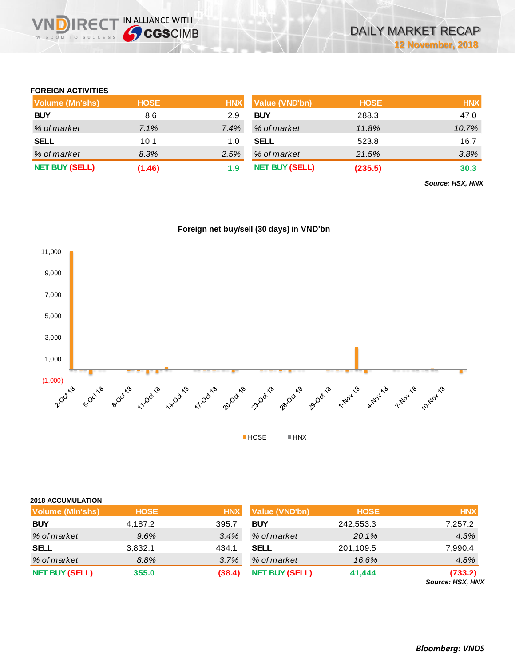## **FOREIGN ACTIVITIES**

WISDOM TO SUCCESS

**IRECT IN ALLIANCE WITH** 

| Volume (Mn'shs)       | <b>HOSE</b> | <b>HNX</b> | Value (VND'bn)        | <b>HOSE</b> | <b>HNX</b> |
|-----------------------|-------------|------------|-----------------------|-------------|------------|
| <b>BUY</b>            | 8.6         | 2.9        | <b>BUY</b>            | 288.3       | 47.0       |
| % of market           | 7.1%        | 7.4%       | % of market           | 11.8%       | 10.7%      |
| <b>SELL</b>           | 10.1        | 1.0        | <b>SELL</b>           | 523.8       | 16.7       |
| % of market           | 8.3%        | 2.5%       | % of market           | 21.5%       | 3.8%       |
| <b>NET BUY (SELL)</b> | (1.46)      | 1.9        | <b>NET BUY (SELL)</b> | (235.5)     | 30.3       |

*Source: HSX, HNX*

## **Foreign net buy/sell (30 days) in VND'bn**



| <b>2018 ACCUMULATION</b> |             |            |                       |             |                                   |
|--------------------------|-------------|------------|-----------------------|-------------|-----------------------------------|
| <b>Volume (MIn'shs)</b>  | <b>HOSE</b> | <b>HNX</b> | Value (VND'bn)        | <b>HOSE</b> | <b>HNX</b>                        |
| <b>BUY</b>               | 4,187.2     | 395.7      | <b>BUY</b>            | 242,553.3   | 7,257.2                           |
| % of market              | 9.6%        | 3.4%       | % of market           | 20.1%       | 4.3%                              |
| <b>SELL</b>              | 3,832.1     | 434.1      | <b>SELL</b>           | 201,109.5   | 7,990.4                           |
| % of market              | 8.8%        | 3.7%       | % of market           | 16.6%       | 4.8%                              |
| <b>NET BUY (SELL)</b>    | 355.0       | (38.4)     | <b>NET BUY (SELL)</b> | 41,444      | (733.2)<br><b>CALUBAT HOV HAN</b> |

*Source: HSX, HNX*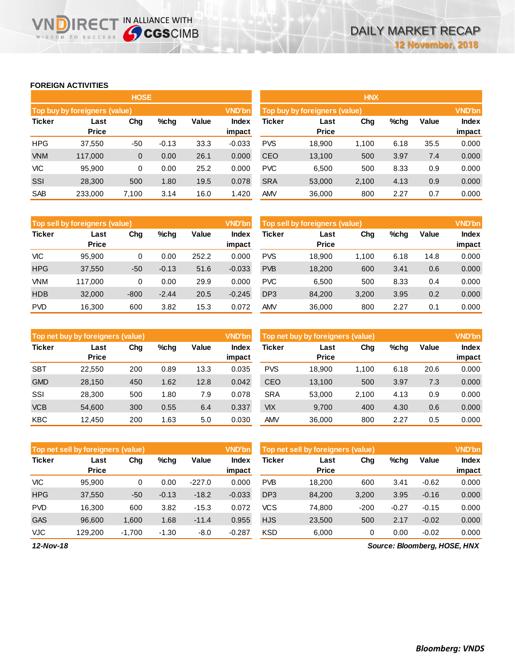## **FOREIGN ACTIVITIES**

WISDOM TO SUCCESS

**VNDIRECT IN ALLIANCE WITH** 

|               |                               | <b>HOSE</b> |         |       |                        | <b>HNX</b>    |                               |       |      |       |                 |  |  |
|---------------|-------------------------------|-------------|---------|-------|------------------------|---------------|-------------------------------|-------|------|-------|-----------------|--|--|
|               | Top buy by foreigners (value) |             |         |       | <b>VND'bn</b>          |               | Top buy by foreigners (value) |       |      |       | <b>VND'bn</b>   |  |  |
| <b>Ticker</b> | Last<br><b>Price</b>          | Chg         | $%$ chq | Value | <b>Index</b><br>impact | <b>Ticker</b> | Last<br><b>Price</b>          | Chg   | %chg | Value | Index<br>impact |  |  |
| <b>HPG</b>    | 37,550                        | -50         | $-0.13$ | 33.3  | $-0.033$               | <b>PVS</b>    | 18,900                        | 1.100 | 6.18 | 35.5  | 0.000           |  |  |
| <b>VNM</b>    | 117,000                       | 0           | 0.00    | 26.1  | 0.000                  | <b>CEO</b>    | 13,100                        | 500   | 3.97 | 7.4   | 0.000           |  |  |
| <b>VIC</b>    | 95.900                        | 0           | 0.00    | 25.2  | 0.000                  | <b>PVC</b>    | 6,500                         | 500   | 8.33 | 0.9   | 0.000           |  |  |
| SSI           | 28,300                        | 500         | 1.80    | 19.5  | 0.078                  | <b>SRA</b>    | 53,000                        | 2,100 | 4.13 | 0.9   | 0.000           |  |  |
| <b>SAB</b>    | 233,000                       | 7.100       | 3.14    | 16.0  | 1.420                  | <b>AMV</b>    | 36,000                        | 800   | 2.27 | 0.7   | 0.000           |  |  |

|               | Top sell by foreigners (value) |        |         |       | <b>VND'bn</b>   | Top sell by foreigners (value) |                      |       |      |       | <b>VND'bn</b>          |
|---------------|--------------------------------|--------|---------|-------|-----------------|--------------------------------|----------------------|-------|------|-------|------------------------|
| <b>Ticker</b> | Last<br><b>Price</b>           | Chg    | $%$ chq | Value | Index<br>impact | <b>Ticker</b>                  | Last<br><b>Price</b> | Chg   | %chg | Value | <b>Index</b><br>impact |
| <b>VIC</b>    | 95.900                         | 0      | 0.00    | 252.2 | 0.000           | <b>PVS</b>                     | 18.900               | 1.100 | 6.18 | 14.8  | 0.000                  |
| <b>HPG</b>    | 37,550                         | $-50$  | $-0.13$ | 51.6  | $-0.033$        | <b>PVB</b>                     | 18,200               | 600   | 3.41 | 0.6   | 0.000                  |
| <b>VNM</b>    | 117.000                        | 0      | 0.00    | 29.9  | 0.000           | <b>PVC</b>                     | 6.500                | 500   | 8.33 | 0.4   | 0.000                  |
| <b>HDB</b>    | 32,000                         | $-800$ | $-2.44$ | 20.5  | $-0.245$        | DP <sub>3</sub>                | 84,200               | 3,200 | 3.95 | 0.2   | 0.000                  |
| <b>PVD</b>    | 16.300                         | 600    | 3.82    | 15.3  | 0.072           | AMV                            | 36,000               | 800   | 2.27 | 0.1   | 0.000                  |

|               | Top net buy by foreigners (value) |     |         |       | <b>VND'bn</b>   | Top net buy by foreigners (value) |                      |       |      |              | <b>VND'bn</b>          |
|---------------|-----------------------------------|-----|---------|-------|-----------------|-----------------------------------|----------------------|-------|------|--------------|------------------------|
| <b>Ticker</b> | Last<br><b>Price</b>              | Chg | $%$ chq | Value | Index<br>impact | <b>Ticker</b>                     | Last<br><b>Price</b> | Chg   | %chg | <b>Value</b> | <b>Index</b><br>impact |
| <b>SBT</b>    | 22.550                            | 200 | 0.89    | 13.3  | 0.035           | <b>PVS</b>                        | 18.900               | 1.100 | 6.18 | 20.6         | 0.000                  |
| <b>GMD</b>    | 28,150                            | 450 | 1.62    | 12.8  | 0.042           | CEO                               | 13,100               | 500   | 3.97 | 7.3          | 0.000                  |
| SSI           | 28,300                            | 500 | 1.80    | 7.9   | 0.078           | <b>SRA</b>                        | 53.000               | 2.100 | 4.13 | 0.9          | 0.000                  |
| <b>VCB</b>    | 54,600                            | 300 | 0.55    | 6.4   | 0.337           | <b>VIX</b>                        | 9.700                | 400   | 4.30 | 0.6          | 0.000                  |
| <b>KBC</b>    | 12.450                            | 200 | 1.63    | 5.0   | 0.030           | <b>AMV</b>                        | 36,000               | 800   | 2.27 | 0.5          | 0.000                  |

|               | <b>VND'bn</b><br>Top net sell by foreigners (value) |          |         |          |                        |                 | Top net sell by foreigners (value) |        |         |         |                        |
|---------------|-----------------------------------------------------|----------|---------|----------|------------------------|-----------------|------------------------------------|--------|---------|---------|------------------------|
| <b>Ticker</b> | Last<br><b>Price</b>                                | Chg      | $%$ chq | Value    | <b>Index</b><br>impact | <b>Ticker</b>   | Last<br><b>Price</b>               | Chg    | %chg    | Value   | <b>Index</b><br>impact |
| <b>VIC</b>    | 95.900                                              | 0        | 0.00    | $-227.0$ | 0.000                  | <b>PVB</b>      | 18.200                             | 600    | 3.41    | $-0.62$ | 0.000                  |
| <b>HPG</b>    | 37,550                                              | $-50$    | $-0.13$ | $-18.2$  | $-0.033$               | DP <sub>3</sub> | 84,200                             | 3,200  | 3.95    | $-0.16$ | 0.000                  |
| <b>PVD</b>    | 16.300                                              | 600      | 3.82    | $-15.3$  | 0.072                  | <b>VCS</b>      | 74,800                             | $-200$ | $-0.27$ | $-0.15$ | 0.000                  |
| <b>GAS</b>    | 96,600                                              | 1,600    | 1.68    | $-11.4$  | 0.955                  | <b>HJS</b>      | 23,500                             | 500    | 2.17    | $-0.02$ | 0.000                  |
| <b>VJC</b>    | 129.200                                             | $-1.700$ | $-1.30$ | $-8.0$   | $-0.287$               | <b>KSD</b>      | 6,000                              | 0      | 0.00    | $-0.02$ | 0.000                  |

*12-Nov-18*

*Source: Bloomberg, HOSE, HNX*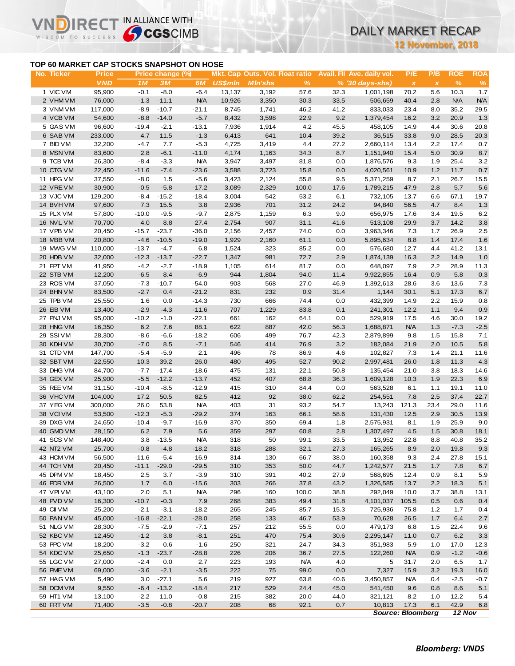# DAILY MARKET RECAP

**12 November, 2018**

### **TOP 60 MARKET CAP STOCKS SNAPSHOT ON HOSE**

IR<sub>E</sub>

IN ALLIANCE WITH

| TOP 60 MARKET CAP STOCKS SNAPSHOT ON HOSE<br>No. Ticker<br>1 VIC VM<br>2 VHM VM<br>3 VNM VM<br>4 VCB VM<br>5 GAS VM<br>6 SAB VM<br>7 BID VM<br>8 MSN VM<br>9 TCB VM<br>10 CTG VM<br>11 HPG VM<br>12 VRE VM<br>13 VJC VM<br>14 BVH VM<br>15 PLX VM<br>16 NVL VM<br>17 VPB VM<br>18 MBB VM<br>19 MWG VM<br>20 HDB VM<br>21 FPT VM<br>22 STB VM<br>23 ROS VM<br>24 BHN VM<br>25 TPB VM<br>26 EIB VM<br>27 PNJ VM | <b>Price</b><br><b>VND</b><br>95,900<br>76,000<br>117,000<br>54,600<br>96,600<br>233,000<br>32,200<br>83,600<br>26,300<br>22,450<br>37,550<br>30,900<br>129,200<br>97,600<br>57,800<br>70,700<br>20,450<br>20,800<br>110,000 | 1M<br>$-0.1$<br>$-1.3$<br>$-8.9$<br>$-8.8$<br>$-19.4$<br>4.7<br>$-4.7$<br>2.8<br>$-8.4$<br>$-11.6$<br>$-8.0$<br>$-0.5$<br>$-8.4$<br>7.3<br>$-10.0$ | Price change (%)<br>3M<br>$-8.0$<br>$-11.1$<br>$-10.7$<br>$-14.0$<br>$-2.1$<br>11.5<br>7.7<br>$-6.1$<br>$-3.3$<br>$-7.4$<br>1.5<br>$-5.8$<br>$-15.2$ | 6M<br>$-6.4$<br><b>N/A</b><br>$-21.1$<br>$-5.7$<br>$-13.1$<br>$-1.3$<br>$-5.3$<br>$-11.0$<br><b>N/A</b><br>$-23.6$<br>$-5.6$ | <b>US\$mln</b><br>13,137<br>10,926<br>8,745<br>8,432<br>7,936<br>6,413<br>4,725<br>4,174<br>3,947 | Mkt. Cap Outs. Vol. Float ratio<br><b>MIn'shs</b><br>3,192<br>3,350<br>1,741<br>3,598<br>1,914<br>641<br>3,419<br>1,163 | $\%$<br>57.6<br>30.3<br>46.2<br>22.9<br>4.2<br>10.4<br>4.4 | 32.3<br>33.5<br>41.2<br>9.2<br>45.5<br>39.2 | Avail. Fil Ave. daily vol.<br>$% (30 days-shs)$<br>1,001,198<br>506,659<br>833,033<br>1,379,454<br>458,105<br>36,515 | P/E<br>$\boldsymbol{\mathsf{X}}$<br>70.2<br>40.4<br>23.4<br>16.2<br>14.9<br>33.8 | P/B<br>$\pmb{\chi}$<br>5.6<br>2.8<br>8.0<br>3.2<br>4.4 | <b>ROE</b><br>$\frac{9}{6}$<br>10.3<br><b>N/A</b><br>35.2<br>20.9<br>30.6 | <b>ROA</b><br>$\%$<br>1.7<br><b>N/A</b><br>29.5 |
|---------------------------------------------------------------------------------------------------------------------------------------------------------------------------------------------------------------------------------------------------------------------------------------------------------------------------------------------------------------------------------------------------------------|------------------------------------------------------------------------------------------------------------------------------------------------------------------------------------------------------------------------------|----------------------------------------------------------------------------------------------------------------------------------------------------|------------------------------------------------------------------------------------------------------------------------------------------------------|------------------------------------------------------------------------------------------------------------------------------|---------------------------------------------------------------------------------------------------|-------------------------------------------------------------------------------------------------------------------------|------------------------------------------------------------|---------------------------------------------|----------------------------------------------------------------------------------------------------------------------|----------------------------------------------------------------------------------|--------------------------------------------------------|---------------------------------------------------------------------------|-------------------------------------------------|
|                                                                                                                                                                                                                                                                                                                                                                                                               |                                                                                                                                                                                                                              |                                                                                                                                                    |                                                                                                                                                      |                                                                                                                              |                                                                                                   |                                                                                                                         |                                                            |                                             |                                                                                                                      |                                                                                  |                                                        |                                                                           |                                                 |
|                                                                                                                                                                                                                                                                                                                                                                                                               |                                                                                                                                                                                                                              |                                                                                                                                                    |                                                                                                                                                      |                                                                                                                              |                                                                                                   |                                                                                                                         |                                                            |                                             |                                                                                                                      |                                                                                  |                                                        |                                                                           |                                                 |
|                                                                                                                                                                                                                                                                                                                                                                                                               |                                                                                                                                                                                                                              |                                                                                                                                                    |                                                                                                                                                      |                                                                                                                              |                                                                                                   |                                                                                                                         |                                                            |                                             |                                                                                                                      |                                                                                  |                                                        |                                                                           |                                                 |
|                                                                                                                                                                                                                                                                                                                                                                                                               |                                                                                                                                                                                                                              |                                                                                                                                                    |                                                                                                                                                      |                                                                                                                              |                                                                                                   |                                                                                                                         |                                                            |                                             |                                                                                                                      |                                                                                  |                                                        |                                                                           |                                                 |
|                                                                                                                                                                                                                                                                                                                                                                                                               |                                                                                                                                                                                                                              |                                                                                                                                                    |                                                                                                                                                      |                                                                                                                              |                                                                                                   |                                                                                                                         |                                                            |                                             |                                                                                                                      |                                                                                  |                                                        |                                                                           |                                                 |
|                                                                                                                                                                                                                                                                                                                                                                                                               |                                                                                                                                                                                                                              |                                                                                                                                                    |                                                                                                                                                      |                                                                                                                              |                                                                                                   |                                                                                                                         |                                                            |                                             |                                                                                                                      |                                                                                  |                                                        |                                                                           | 1.3                                             |
|                                                                                                                                                                                                                                                                                                                                                                                                               |                                                                                                                                                                                                                              |                                                                                                                                                    |                                                                                                                                                      |                                                                                                                              |                                                                                                   |                                                                                                                         |                                                            |                                             |                                                                                                                      |                                                                                  |                                                        |                                                                           | 20.8                                            |
|                                                                                                                                                                                                                                                                                                                                                                                                               |                                                                                                                                                                                                                              |                                                                                                                                                    |                                                                                                                                                      |                                                                                                                              |                                                                                                   |                                                                                                                         |                                                            |                                             |                                                                                                                      |                                                                                  | 9.0                                                    | 28.5                                                                      | 20.3                                            |
|                                                                                                                                                                                                                                                                                                                                                                                                               |                                                                                                                                                                                                                              |                                                                                                                                                    |                                                                                                                                                      |                                                                                                                              |                                                                                                   |                                                                                                                         |                                                            | 27.2                                        | 2,660,114                                                                                                            | 13.4                                                                             | 2.2                                                    | 17.4                                                                      | 0.7                                             |
|                                                                                                                                                                                                                                                                                                                                                                                                               |                                                                                                                                                                                                                              |                                                                                                                                                    |                                                                                                                                                      |                                                                                                                              |                                                                                                   |                                                                                                                         | 34.3                                                       | 8.7                                         | 1,151,940                                                                                                            | 15.4                                                                             | 5.0                                                    | 30.9                                                                      | 8.7                                             |
|                                                                                                                                                                                                                                                                                                                                                                                                               |                                                                                                                                                                                                                              |                                                                                                                                                    |                                                                                                                                                      |                                                                                                                              |                                                                                                   | 3,497                                                                                                                   | 81.8                                                       | 0.0                                         | 1,876,576                                                                                                            | 9.3                                                                              | 1.9                                                    | 25.4                                                                      | 3.2                                             |
|                                                                                                                                                                                                                                                                                                                                                                                                               |                                                                                                                                                                                                                              |                                                                                                                                                    |                                                                                                                                                      |                                                                                                                              | 3,588                                                                                             | 3,723                                                                                                                   | 15.8                                                       | 0.0                                         | 4,020,561                                                                                                            | 10.9                                                                             | 1.2                                                    | 11.7                                                                      | $0.7\,$                                         |
|                                                                                                                                                                                                                                                                                                                                                                                                               |                                                                                                                                                                                                                              |                                                                                                                                                    |                                                                                                                                                      |                                                                                                                              | 3,423                                                                                             | 2,124                                                                                                                   | 55.8                                                       | 9.5                                         | 5,371,259                                                                                                            | 8.7                                                                              | 2.1                                                    | 26.7                                                                      | 15.5                                            |
|                                                                                                                                                                                                                                                                                                                                                                                                               |                                                                                                                                                                                                                              |                                                                                                                                                    |                                                                                                                                                      | $-17.2$                                                                                                                      | 3,089                                                                                             | 2,329                                                                                                                   | 100.0                                                      | 17.6                                        | 1,789,215                                                                                                            | 47.9                                                                             | 2.8                                                    | 5.7                                                                       | 5.6                                             |
|                                                                                                                                                                                                                                                                                                                                                                                                               |                                                                                                                                                                                                                              |                                                                                                                                                    |                                                                                                                                                      | $-18.4$                                                                                                                      | 3,004                                                                                             | 542                                                                                                                     | 53.2                                                       | 6.1                                         | 732,105                                                                                                              | 13.7                                                                             | 6.6                                                    | 67.1                                                                      | 19.7                                            |
|                                                                                                                                                                                                                                                                                                                                                                                                               |                                                                                                                                                                                                                              |                                                                                                                                                    | 15.5                                                                                                                                                 | 3.8                                                                                                                          | 2,936                                                                                             | 701                                                                                                                     | 31.2                                                       | 24.2                                        | 94,840                                                                                                               | 56.5                                                                             | 4.7                                                    | 8.4                                                                       | 1.3                                             |
|                                                                                                                                                                                                                                                                                                                                                                                                               |                                                                                                                                                                                                                              |                                                                                                                                                    | $-9.5$                                                                                                                                               | $-9.7$                                                                                                                       | 2,875                                                                                             | 1,159                                                                                                                   | 6.3                                                        | 9.0                                         | 656,975                                                                                                              | 17.6                                                                             | 3.4                                                    | 19.5                                                                      | 6.2                                             |
|                                                                                                                                                                                                                                                                                                                                                                                                               |                                                                                                                                                                                                                              | 4.0                                                                                                                                                | 8.8                                                                                                                                                  | 27.4                                                                                                                         | 2,754                                                                                             | 907                                                                                                                     | 31.1                                                       | 41.6                                        | 513,108                                                                                                              | 29.9                                                                             | 3.7                                                    | 14.2                                                                      | 3.8                                             |
|                                                                                                                                                                                                                                                                                                                                                                                                               |                                                                                                                                                                                                                              | $-15.7$                                                                                                                                            | $-23.7$                                                                                                                                              | $-36.0$                                                                                                                      | 2,156                                                                                             | 2,457                                                                                                                   | 74.0                                                       | 0.0                                         | 3,963,346                                                                                                            | 7.3                                                                              | 1.7                                                    | 26.9                                                                      | 2.5                                             |
|                                                                                                                                                                                                                                                                                                                                                                                                               |                                                                                                                                                                                                                              | $-4.6$                                                                                                                                             | $-10.5$                                                                                                                                              | $-19.0$                                                                                                                      | 1,929                                                                                             | 2,160                                                                                                                   | 61.1                                                       | 0.0                                         | 5,895,634                                                                                                            | 8.8                                                                              | 1.4                                                    | 17.4                                                                      | 1.6                                             |
|                                                                                                                                                                                                                                                                                                                                                                                                               |                                                                                                                                                                                                                              | $-13.7$                                                                                                                                            | $-4.7$                                                                                                                                               | 6.8                                                                                                                          | 1,524                                                                                             | 323                                                                                                                     | 85.2                                                       | 0.0                                         | 576,680                                                                                                              | 12.7                                                                             | 4.4                                                    | 41.2                                                                      | 13.1                                            |
|                                                                                                                                                                                                                                                                                                                                                                                                               | 32,000                                                                                                                                                                                                                       | $-12.3$                                                                                                                                            | $-13.7$                                                                                                                                              | $-22.7$                                                                                                                      | 1,347                                                                                             | 981                                                                                                                     | 72.7                                                       | 2.9                                         | 1,874,139                                                                                                            | 16.3                                                                             | 2.2                                                    | 14.9                                                                      | 1.0                                             |
|                                                                                                                                                                                                                                                                                                                                                                                                               | 41,950                                                                                                                                                                                                                       | $-4.2$                                                                                                                                             | $-2.7$                                                                                                                                               | $-18.9$                                                                                                                      | 1,105                                                                                             | 614                                                                                                                     | 81.7                                                       | 0.0                                         | 648,097                                                                                                              | 7.9                                                                              | 2.2                                                    | 28.9                                                                      | 11.3                                            |
|                                                                                                                                                                                                                                                                                                                                                                                                               | 12,200                                                                                                                                                                                                                       | $-6.5$                                                                                                                                             | 8.4                                                                                                                                                  | $-6.9$                                                                                                                       | 944                                                                                               | 1,804                                                                                                                   | 94.0                                                       | 11.4                                        | 9,922,855                                                                                                            | 16.4                                                                             | 0.9                                                    | 5.8                                                                       | 0.3                                             |
|                                                                                                                                                                                                                                                                                                                                                                                                               | 37,050                                                                                                                                                                                                                       | $-7.3$                                                                                                                                             | $-10.7$                                                                                                                                              | $-54.0$                                                                                                                      | 903                                                                                               | 568                                                                                                                     | 27.0                                                       | 46.9                                        | 1,392,613                                                                                                            | 28.6                                                                             | 3.6                                                    | 13.6                                                                      | 7.3                                             |
|                                                                                                                                                                                                                                                                                                                                                                                                               | 83,500                                                                                                                                                                                                                       | $-2.7$                                                                                                                                             | 0.4                                                                                                                                                  | $-21.2$                                                                                                                      | 831                                                                                               | 232                                                                                                                     | 0.9                                                        | 31.4                                        | 1,144                                                                                                                | 30.1                                                                             | 5.1                                                    | 17.3                                                                      | $6.7\,$                                         |
|                                                                                                                                                                                                                                                                                                                                                                                                               | 25,550                                                                                                                                                                                                                       | 1.6                                                                                                                                                | 0.0                                                                                                                                                  | $-14.3$                                                                                                                      | 730                                                                                               | 666                                                                                                                     | 74.4                                                       | 0.0                                         | 432,399                                                                                                              | 14.9                                                                             | 2.2                                                    | 15.9                                                                      | 0.8                                             |
|                                                                                                                                                                                                                                                                                                                                                                                                               | 13,400                                                                                                                                                                                                                       | $-2.9$                                                                                                                                             | $-4.3$                                                                                                                                               | $-11.6$                                                                                                                      | 707                                                                                               | 1,229                                                                                                                   | 83.8                                                       | 0.1                                         | 241,301                                                                                                              | 12.2                                                                             | 1.1                                                    | 9.4                                                                       | 0.9                                             |
|                                                                                                                                                                                                                                                                                                                                                                                                               | 95,000                                                                                                                                                                                                                       | $-10.2$                                                                                                                                            | $-1.0$                                                                                                                                               | $-22.1$                                                                                                                      | 661                                                                                               | 162                                                                                                                     | 64.1                                                       | 0.0                                         | 529,919                                                                                                              | 17.5                                                                             | 4.6                                                    | 30.0                                                                      | 19.2                                            |
| 28 HNG VM                                                                                                                                                                                                                                                                                                                                                                                                     | 16,350                                                                                                                                                                                                                       | 6.2                                                                                                                                                | 7.6                                                                                                                                                  | 88.1                                                                                                                         | 622                                                                                               | 887                                                                                                                     | 42.0                                                       | 56.3                                        | 1,688,871                                                                                                            | <b>N/A</b>                                                                       | 1.3                                                    | $-7.3$                                                                    | $-2.5$                                          |
| 29 SSIVM                                                                                                                                                                                                                                                                                                                                                                                                      | 28,300                                                                                                                                                                                                                       | $-8.6$                                                                                                                                             | $-6.6$                                                                                                                                               | $-18.2$                                                                                                                      | 606                                                                                               | 499                                                                                                                     | 76.7                                                       | 42.3                                        | 2,879,899                                                                                                            | 9.8                                                                              | 1.5                                                    | 15.8                                                                      | 7.1                                             |
| 30 KDH VM                                                                                                                                                                                                                                                                                                                                                                                                     | 30,700                                                                                                                                                                                                                       | $-7.0$                                                                                                                                             | 8.5                                                                                                                                                  | $-7.1$                                                                                                                       | 546                                                                                               | 414                                                                                                                     | 76.9                                                       | 3.2                                         | 182,084                                                                                                              | 21.9                                                                             | 2.0                                                    | 10.5                                                                      | 5.8                                             |
| 31 CTD VM                                                                                                                                                                                                                                                                                                                                                                                                     | 147,700                                                                                                                                                                                                                      | $-5.4$                                                                                                                                             | $-5.9$                                                                                                                                               | 2.1                                                                                                                          | 496                                                                                               | 78                                                                                                                      | 86.9                                                       | 4.6                                         | 102,827                                                                                                              | 7.3                                                                              | 1.4                                                    | 21.1                                                                      | 11.6                                            |
| 32 SBT VM                                                                                                                                                                                                                                                                                                                                                                                                     | 22,550                                                                                                                                                                                                                       | 10.3                                                                                                                                               | 39.2                                                                                                                                                 | 26.0                                                                                                                         | 480<br>475                                                                                        | 495                                                                                                                     | 52.7                                                       | 90.2                                        | 2,997,481                                                                                                            | 26.0                                                                             | 1.8                                                    | 11.3                                                                      | 4.3                                             |
| 33 DHG VM<br>34 GEX VM                                                                                                                                                                                                                                                                                                                                                                                        | 84,700<br>25,900                                                                                                                                                                                                             | $-7.7$<br>$-5.5$                                                                                                                                   | $-17.4$<br>$-12.2$                                                                                                                                   | $-18.6$<br>$-13.7$                                                                                                           | 452                                                                                               | 131<br>407                                                                                                              | 22.1<br>68.8                                               | 50.8<br>36.3                                | 135,454<br>1,609,128                                                                                                 | 21.0<br>10.3                                                                     | 3.8<br>1.9                                             | 18.3<br>22.3                                                              | 14.6<br>6.9                                     |
| 35 REE VM                                                                                                                                                                                                                                                                                                                                                                                                     | 31,150                                                                                                                                                                                                                       | $-10.4$                                                                                                                                            | $-8.5$                                                                                                                                               | $-12.9$                                                                                                                      | 415                                                                                               | 310                                                                                                                     | 84.4                                                       | 0.0                                         | 563,528                                                                                                              | 6.1                                                                              | 1.1                                                    | 19.1                                                                      | 11.0                                            |
| 36 VHC VM                                                                                                                                                                                                                                                                                                                                                                                                     | 104,000                                                                                                                                                                                                                      | 17.2                                                                                                                                               | 50.5                                                                                                                                                 | 82.5                                                                                                                         | 412                                                                                               | 92                                                                                                                      | 38.0                                                       | 62.2                                        | 254,551                                                                                                              | 7.8                                                                              | 2.5                                                    | 37.4                                                                      | 22.7                                            |
| 37 YEG VM                                                                                                                                                                                                                                                                                                                                                                                                     | 300,000                                                                                                                                                                                                                      | 26.0                                                                                                                                               | 53.8                                                                                                                                                 | <b>N/A</b>                                                                                                                   | 403                                                                                               | 31                                                                                                                      | 93.2                                                       | 54.7                                        | 13,243                                                                                                               | 121.3                                                                            | 23.4                                                   | 29.0                                                                      | 11.6                                            |
| 38 VCIVM                                                                                                                                                                                                                                                                                                                                                                                                      | 53,500                                                                                                                                                                                                                       | $-12.3$                                                                                                                                            | $-5.3$                                                                                                                                               | $-29.2$                                                                                                                      | 374                                                                                               | 163                                                                                                                     | 66.1                                                       | 58.6                                        | 131,430                                                                                                              | 12.5                                                                             | 2.9                                                    | 30.5                                                                      | 13.9                                            |
| 39 DXG VM                                                                                                                                                                                                                                                                                                                                                                                                     | 24,650                                                                                                                                                                                                                       | $-10.4$                                                                                                                                            | $-9.7$                                                                                                                                               | $-16.9$                                                                                                                      | 370                                                                                               | 350                                                                                                                     | 69.4                                                       | 1.8                                         | 2,575,931                                                                                                            | 8.1                                                                              | 1.9                                                    | 25.9                                                                      | 9.0                                             |
| 40 GMD VM                                                                                                                                                                                                                                                                                                                                                                                                     | 28,150                                                                                                                                                                                                                       | 6.2                                                                                                                                                | 7.9                                                                                                                                                  | 5.6                                                                                                                          | 359                                                                                               | 297                                                                                                                     | 60.8                                                       | 2.8                                         | 1,307,497                                                                                                            | 4.5                                                                              | 1.5                                                    | 30.8                                                                      | 18.1                                            |
| 41 SCS VM                                                                                                                                                                                                                                                                                                                                                                                                     | 148,400                                                                                                                                                                                                                      | 3.8                                                                                                                                                | $-13.5$                                                                                                                                              | <b>N/A</b>                                                                                                                   | 318                                                                                               | 50                                                                                                                      | 99.1                                                       | 33.5                                        | 13,952                                                                                                               | 22.8                                                                             | 8.8                                                    | 40.8                                                                      | 35.2                                            |
| 42 NT2 VM                                                                                                                                                                                                                                                                                                                                                                                                     | 25,700                                                                                                                                                                                                                       | $-0.8$                                                                                                                                             | $-4.8$                                                                                                                                               | $-18.2$                                                                                                                      | 318                                                                                               | 288                                                                                                                     | 32.1                                                       | 27.3                                        | 165,265                                                                                                              | 8.9                                                                              | 2.0                                                    | 19.8                                                                      | 9.3                                             |
| 43 HCM VM                                                                                                                                                                                                                                                                                                                                                                                                     | 56,500                                                                                                                                                                                                                       | $-11.6$                                                                                                                                            | $-5.4$                                                                                                                                               | $-16.9$                                                                                                                      | 314                                                                                               | 130                                                                                                                     | 66.7                                                       | 38.0                                        | 160,358                                                                                                              | 9.3                                                                              | 2.4                                                    | 27.8                                                                      | 15.1                                            |
| 44 TCH VM                                                                                                                                                                                                                                                                                                                                                                                                     | 20,450                                                                                                                                                                                                                       | $-11.1$                                                                                                                                            | $-29.0$                                                                                                                                              | $-29.5$                                                                                                                      | 310                                                                                               | 353                                                                                                                     | 50.0                                                       | 44.7                                        | 1,242,577                                                                                                            | 21.5                                                                             | 1.7                                                    | 7.8                                                                       | 6.7                                             |
| 45 DPM VM                                                                                                                                                                                                                                                                                                                                                                                                     | 18,450                                                                                                                                                                                                                       | 2.5                                                                                                                                                | 3.7                                                                                                                                                  | $-3.9$                                                                                                                       | 310                                                                                               | 391                                                                                                                     | 40.2                                                       | 27.9                                        | 568,695                                                                                                              | 12.4                                                                             | 0.9                                                    | 8.1                                                                       | 5.9                                             |
| 46 PDR VM                                                                                                                                                                                                                                                                                                                                                                                                     | 26,500                                                                                                                                                                                                                       | 1.7                                                                                                                                                | 6.0                                                                                                                                                  | $-15.6$                                                                                                                      | 303                                                                                               | 266                                                                                                                     | 37.8                                                       | 43.2                                        | 1,326,585                                                                                                            | 13.7                                                                             | 2.2                                                    | 18.3                                                                      | $5.1$                                           |
| 47 VPIVM                                                                                                                                                                                                                                                                                                                                                                                                      | 43,100                                                                                                                                                                                                                       | 2.0                                                                                                                                                | 5.1                                                                                                                                                  | <b>N/A</b>                                                                                                                   | 296                                                                                               | 160                                                                                                                     | 100.0                                                      | 38.8                                        | 292,049                                                                                                              | 10.0                                                                             | 3.7                                                    | 38.8                                                                      | 13.1                                            |
| 48 PVD VM                                                                                                                                                                                                                                                                                                                                                                                                     | 16,300                                                                                                                                                                                                                       | $-10.7$                                                                                                                                            | $-0.3$                                                                                                                                               | 7.9                                                                                                                          | 268                                                                                               | 383                                                                                                                     | 49.4                                                       | 31.8                                        | 4,101,037                                                                                                            | 105.5                                                                            | 0.5                                                    | 0.6                                                                       | 0.4                                             |
| 49 CII VM                                                                                                                                                                                                                                                                                                                                                                                                     | 25,200                                                                                                                                                                                                                       | $-2.1$                                                                                                                                             | $-3.1$                                                                                                                                               | $-18.2$                                                                                                                      | 265                                                                                               | 245                                                                                                                     | 85.7                                                       | 15.3                                        | 725,936                                                                                                              | 75.8                                                                             | 1.2                                                    | 1.7                                                                       | 0.4                                             |
| 50 PAN VM                                                                                                                                                                                                                                                                                                                                                                                                     | 45,000                                                                                                                                                                                                                       | $-16.8$                                                                                                                                            | $-22.1$                                                                                                                                              | $-28.0$                                                                                                                      | 258                                                                                               | 133                                                                                                                     | 46.7                                                       | 53.9                                        | 70,628                                                                                                               | 26.5                                                                             | 1.7                                                    | 6.4                                                                       | 2.7                                             |
| 51 NLG VM                                                                                                                                                                                                                                                                                                                                                                                                     | 28,300                                                                                                                                                                                                                       | $-7.5$                                                                                                                                             | $-2.9$                                                                                                                                               | $-7.1$                                                                                                                       | 257                                                                                               | 212                                                                                                                     | 55.5                                                       | 0.0                                         | 479,173                                                                                                              | 6.8                                                                              | $1.5$                                                  | 22.4                                                                      | 9.6                                             |
| 52 KBC VM                                                                                                                                                                                                                                                                                                                                                                                                     | 12,450                                                                                                                                                                                                                       | $-1.2$                                                                                                                                             | 3.8                                                                                                                                                  | $-8.1$                                                                                                                       | 251                                                                                               | 470                                                                                                                     | 75.4                                                       | 30.6                                        | 2,295,147                                                                                                            | 11.0                                                                             | 0.7                                                    | 6.2                                                                       | $3.3\,$                                         |
| 53 PPC VM                                                                                                                                                                                                                                                                                                                                                                                                     | 18,200                                                                                                                                                                                                                       | $-3.2$                                                                                                                                             | 0.6                                                                                                                                                  | $-1.6$                                                                                                                       | 250                                                                                               | 321                                                                                                                     | 24.7                                                       | 34.3                                        | 351,983                                                                                                              | 5.9                                                                              | 1.0                                                    | 17.0                                                                      | 12.3                                            |
| 54 KDC VM                                                                                                                                                                                                                                                                                                                                                                                                     | 25,650                                                                                                                                                                                                                       | $-1.3$                                                                                                                                             | $-23.7$                                                                                                                                              | $-28.8$                                                                                                                      | 226                                                                                               | 206                                                                                                                     | 36.7                                                       | 27.5                                        | 122,260                                                                                                              | <b>N/A</b>                                                                       | 0.9                                                    | $-1.2$                                                                    | $-0.6$                                          |
| 55 LGC VM                                                                                                                                                                                                                                                                                                                                                                                                     | 27,000                                                                                                                                                                                                                       | $-2.4$                                                                                                                                             | 0.0                                                                                                                                                  | 2.7                                                                                                                          | 223                                                                                               | 193                                                                                                                     | <b>N/A</b>                                                 | 4.0                                         | 5                                                                                                                    | 31.7                                                                             | 2.0                                                    | 6.5                                                                       | 1.7                                             |
| 56 PME VM                                                                                                                                                                                                                                                                                                                                                                                                     | 69,000                                                                                                                                                                                                                       | $-3.6$                                                                                                                                             | $-2.1$                                                                                                                                               | $-3.5$                                                                                                                       | 222                                                                                               | 75                                                                                                                      | 99.0                                                       | 0.0                                         | 7,327                                                                                                                | 15.9                                                                             | 3.2                                                    | 19.3                                                                      | 16.0                                            |
| 57 HAG VM                                                                                                                                                                                                                                                                                                                                                                                                     | 5,490                                                                                                                                                                                                                        | 3.0                                                                                                                                                | $-27.1$                                                                                                                                              | 5.6                                                                                                                          | 219                                                                                               | 927                                                                                                                     | 63.8                                                       | 40.6                                        | 3,450,857                                                                                                            | <b>N/A</b>                                                                       | 0.4                                                    | $-2.5$                                                                    | $-0.7$                                          |
| 58 DCM VM                                                                                                                                                                                                                                                                                                                                                                                                     | 9,550                                                                                                                                                                                                                        | $-6.4$                                                                                                                                             | $-13.2$                                                                                                                                              | $-18.4$                                                                                                                      | 217                                                                                               | 529                                                                                                                     | 24.4                                                       | 45.0                                        | 541,450                                                                                                              | 9.6                                                                              | 0.8                                                    | 8.6                                                                       | 5.1                                             |
| 59 HT1 VM                                                                                                                                                                                                                                                                                                                                                                                                     |                                                                                                                                                                                                                              |                                                                                                                                                    |                                                                                                                                                      |                                                                                                                              |                                                                                                   |                                                                                                                         |                                                            |                                             |                                                                                                                      |                                                                                  |                                                        |                                                                           |                                                 |
| 60 FRT VM                                                                                                                                                                                                                                                                                                                                                                                                     | 13,100                                                                                                                                                                                                                       | $-2.2$                                                                                                                                             | 11.0                                                                                                                                                 | $-0.8$                                                                                                                       | 215                                                                                               | 382                                                                                                                     | 20.0                                                       | 44.0                                        | 321,121                                                                                                              | 8.2                                                                              | 1.0                                                    | 12.2                                                                      | 5.4                                             |